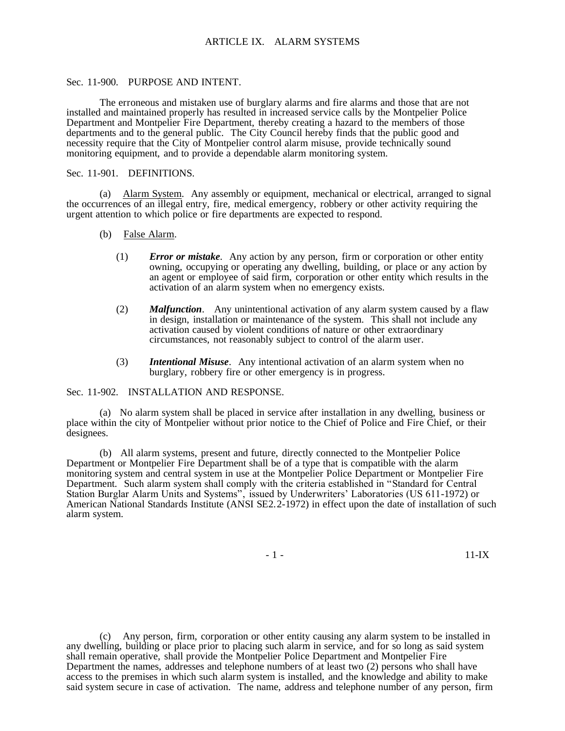## Sec. 11-900. PURPOSE AND INTENT.

The erroneous and mistaken use of burglary alarms and fire alarms and those that are not installed and maintained properly has resulted in increased service calls by the Montpelier Police Department and Montpelier Fire Department, thereby creating a hazard to the members of those departments and to the general public. The City Council hereby finds that the public good and necessity require that the City of Montpelier control alarm misuse, provide technically sound monitoring equipment, and to provide a dependable alarm monitoring system.

## Sec. 11-901. DEFINITIONS.

(a) Alarm System. Any assembly or equipment, mechanical or electrical, arranged to signal the occurrences of an illegal entry, fire, medical emergency, robbery or other activity requiring the urgent attention to which police or fire departments are expected to respond.

- (b) False Alarm.
	- (1) *Error or mistake*. Any action by any person, firm or corporation or other entity owning, occupying or operating any dwelling, building, or place or any action by an agent or employee of said firm, corporation or other entity which results in the activation of an alarm system when no emergency exists.
	- (2) *Malfunction*. Any unintentional activation of any alarm system caused by a flaw in design, installation or maintenance of the system. This shall not include any activation caused by violent conditions of nature or other extraordinary circumstances, not reasonably subject to control of the alarm user.
	- (3) *Intentional Misuse*. Any intentional activation of an alarm system when no burglary, robbery fire or other emergency is in progress.

### Sec. 11-902. INSTALLATION AND RESPONSE.

(a) No alarm system shall be placed in service after installation in any dwelling, business or place within the city of Montpelier without prior notice to the Chief of Police and Fire Chief, or their designees.

(b) All alarm systems, present and future, directly connected to the Montpelier Police Department or Montpelier Fire Department shall be of a type that is compatible with the alarm monitoring system and central system in use at the Montpelier Police Department or Montpelier Fire Department. Such alarm system shall comply with the criteria established in "Standard for Central Station Burglar Alarm Units and Systems", issued by Underwriters' Laboratories (US 611-1972) or American National Standards Institute (ANSI SE2.2-1972) in effect upon the date of installation of such alarm system.

- 1 - 11-IX

(c) Any person, firm, corporation or other entity causing any alarm system to be installed in any dwelling, building or place prior to placing such alarm in service, and for so long as said system shall remain operative, shall provide the Montpelier Police Department and Montpelier Fire Department the names, addresses and telephone numbers of at least two (2) persons who shall have access to the premises in which such alarm system is installed, and the knowledge and ability to make said system secure in case of activation. The name, address and telephone number of any person, firm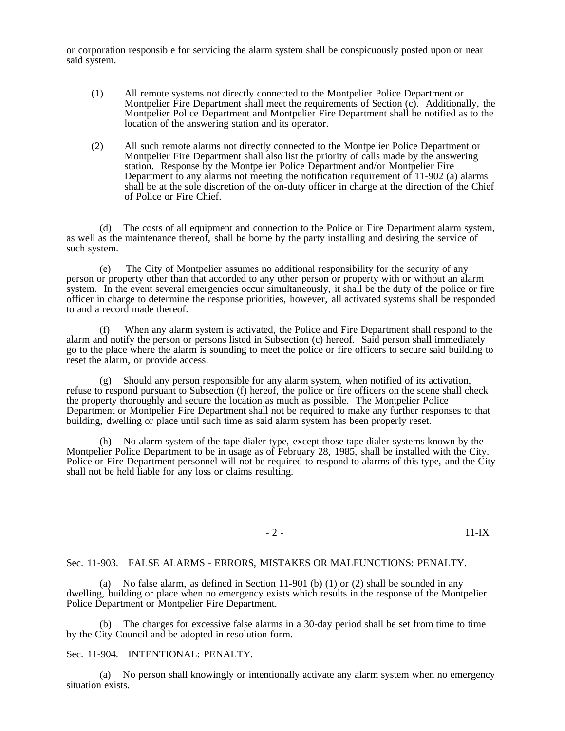or corporation responsible for servicing the alarm system shall be conspicuously posted upon or near said system.

- (1) All remote systems not directly connected to the Montpelier Police Department or Montpelier Fire Department shall meet the requirements of Section (c). Additionally, the Montpelier Police Department and Montpelier Fire Department shall be notified as to the location of the answering station and its operator.
- (2) All such remote alarms not directly connected to the Montpelier Police Department or Montpelier Fire Department shall also list the priority of calls made by the answering station. Response by the Montpelier Police Department and/or Montpelier Fire Department to any alarms not meeting the notification requirement of 11-902 (a) alarms shall be at the sole discretion of the on-duty officer in charge at the direction of the Chief of Police or Fire Chief.

(d) The costs of all equipment and connection to the Police or Fire Department alarm system, as well as the maintenance thereof, shall be borne by the party installing and desiring the service of such system.

(e) The City of Montpelier assumes no additional responsibility for the security of any person or property other than that accorded to any other person or property with or without an alarm system. In the event several emergencies occur simultaneously, it shall be the duty of the police or fire officer in charge to determine the response priorities, however, all activated systems shall be responded to and a record made thereof.

(f) When any alarm system is activated, the Police and Fire Department shall respond to the alarm and notify the person or persons listed in Subsection (c) hereof. Said person shall immediately go to the place where the alarm is sounding to meet the police or fire officers to secure said building to reset the alarm, or provide access.

(g) Should any person responsible for any alarm system, when notified of its activation, refuse to respond pursuant to Subsection (f) hereof, the police or fire officers on the scene shall check the property thoroughly and secure the location as much as possible. The Montpelier Police Department or Montpelier Fire Department shall not be required to make any further responses to that building, dwelling or place until such time as said alarm system has been properly reset.

(h) No alarm system of the tape dialer type, except those tape dialer systems known by the Montpelier Police Department to be in usage as of February 28, 1985, shall be installed with the City. Police or Fire Department personnel will not be required to respond to alarms of this type, and the City shall not be held liable for any loss or claims resulting.

- 2 - 11-IX

### Sec. 11-903. FALSE ALARMS - ERRORS, MISTAKES OR MALFUNCTIONS: PENALTY.

(a) No false alarm, as defined in Section 11-901 (b) (1) or (2) shall be sounded in any dwelling, building or place when no emergency exists which results in the response of the Montpelier Police Department or Montpelier Fire Department.

(b) The charges for excessive false alarms in a 30-day period shall be set from time to time by the City Council and be adopted in resolution form.

# Sec. 11-904. INTENTIONAL: PENALTY.

(a) No person shall knowingly or intentionally activate any alarm system when no emergency situation exists.